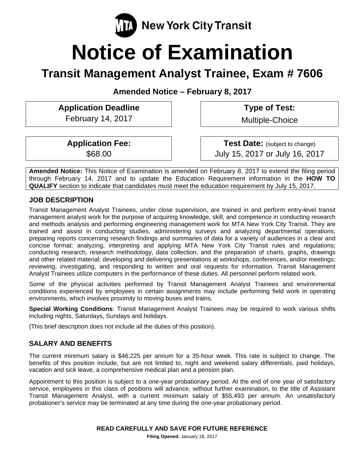

# **Notice of Examination**

# **Transit Management Analyst Trainee, Exam # 7606**

**Amended Notice – February 8, 2017** 

**Application Deadline**  February 14, 2017

 **Type of Test:** 

Multiple-Choice

**Application Fee:**  \$68.00

**Test Date:** (subject to change) July 15, 2017 or July 16, 2017

**Amended Notice:** This Notice of Examination is amended on February 8, 2017 to extend the filing period through February 14, 2017 and to update the Education Requirement information in the **HOW TO QUALIFY** section to indicate that candidates must meet the education requirement by July 15, 2017.

# **JOB DESCRIPTION**

Transit Management Analyst Trainees, under close supervision, are trained in and perform entry-level transit management analyst work for the purpose of acquiring knowledge, skill, and competence in conducting research and methods analysis and performing engineering management work for MTA New York City Transit. They are trained and assist in conducting studies, administering surveys and analyzing departmental operations; preparing reports concerning research findings and summaries of data for a variety of audiences in a clear and concise format; analyzing, interpreting and applying MTA New York City Transit rules and regulations; conducting research, research methodology, data collection, and the preparation of charts, graphs, drawings and other related material; developing and delivering presentations at workshops, conferences, and/or meetings; reviewing, investigating, and responding to written and oral requests for information. Transit Management Analyst Trainees utilize computers in the performance of these duties. All personnel perform related work.

Some of the physical activities performed by Transit Management Analyst Trainees and environmental conditions experienced by employees in certain assignments may include performing field work in operating environments, which involves proximity to moving buses and trains.

**Special Working Conditions**: Transit Management Analyst Trainees may be required to work various shifts including nights, Saturdays, Sundays and holidays.

(This brief description does not include all the duties of this position).

# **SALARY AND BENEFITS**

The current minimum salary is \$46,225 per annum for a 35-hour week. This rate is subject to change. The benefits of this position include, but are not limited to, night and weekend salary differentials, paid holidays, vacation and sick leave, a comprehensive medical plan and a pension plan.

Appointment to this position is subject to a one-year probationary period. At the end of one year of satisfactory service, employees in this class of positions will advance, without further examination, to the title of Assistant Transit Management Analyst, with a current minimum salary of \$55,493 per annum. An unsatisfactory probationer's service may be terminated at any time during the one-year probationary period.

**Filing Opened:** January 18, 2017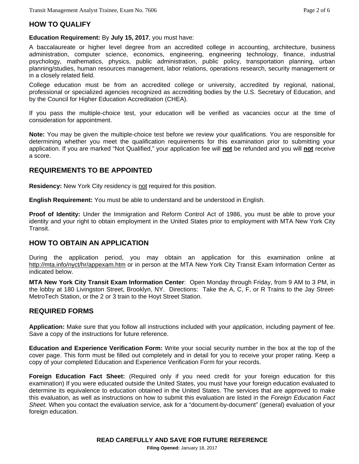# **HOW TO QUALIFY**

**Education Requirement:** By **July 15, 2017**, you must have:

A baccalaureate or higher level degree from an accredited college in accounting, architecture, business administration, computer science, economics, engineering, engineering technology, finance, industrial psychology, mathematics, physics, public administration, public policy, transportation planning, urban planning/studies, human resources management, labor relations, operations research, security management or in a closely related field.

College education must be from an accredited college or university, accredited by regional, national, professional or specialized agencies recognized as accrediting bodies by the U.S. Secretary of Education, and by the Council for Higher Education Accreditation (CHEA).

If you pass the multiple-choice test, your education will be verified as vacancies occur at the time of consideration for appointment.

**Note:** You may be given the multiple-choice test before we review your qualifications. You are responsible for determining whether you meet the qualification requirements for this examination prior to submitting your application. If you are marked "Not Qualified," your application fee will **not** be refunded and you will **not** receive a score.

# **REQUIREMENTS TO BE APPOINTED**

**Residency:** New York City residency is not required for this position.

**English Requirement:** You must be able to understand and be understood in English.

**Proof of Identity:** Under the Immigration and Reform Control Act of 1986, you must be able to prove your identity and your right to obtain employment in the United States prior to employment with MTA New York City Transit.

# **HOW TO OBTAIN AN APPLICATION**

During the application period, you may obtain an application for this examination online at http://mta.info/nyct/hr/appexam.htm or in person at the MTA New York City Transit Exam Information Center as indicated below.

**MTA New York City Transit Exam Information Center**: Open Monday through Friday, from 9 AM to 3 PM, in the lobby at 180 Livingston Street, Brooklyn, NY. Directions: Take the A, C, F, or R Trains to the Jay Street-MetroTech Station, or the 2 or 3 train to the Hoyt Street Station.

# **REQUIRED FORMS**

**Application:** Make sure that you follow all instructions included with your *application*, including payment of fee. Save a copy of the instructions for future reference.

**Education and Experience Verification Form:** Write your social security number in the box at the top of the cover page. This form must be filled out completely and in detail for you to receive your proper rating. Keep a copy of your completed Education and Experience Verification Form for your records.

**Foreign Education Fact Sheet:** (Required only if you need credit for your foreign education for this examination) If you were educated outside the United States, you must have your foreign education evaluated to determine its equivalence to education obtained in the United States. The services that are approved to make this evaluation, as well as instructions on how to submit this evaluation are listed in the *Foreign Education Fact Sheet.* When you contact the evaluation service, ask for a "document-by-document" (general) evaluation of your foreign education.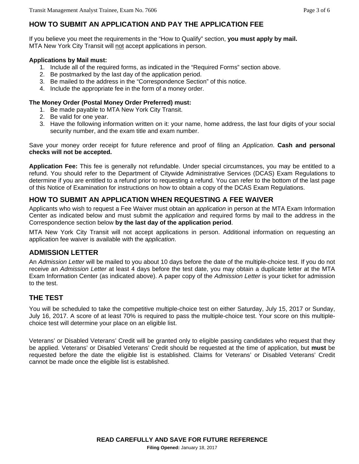# **HOW TO SUBMIT AN APPLICATION AND PAY THE APPLICATION FEE**

If you believe you meet the requirements in the "How to Qualify" section, **you must apply by mail.** MTA New York City Transit will not accept applications in person.

#### **Applications by Mail must:**

- 1. Include all of the required forms, as indicated in the "Required Forms" section above.
- 2. Be postmarked by the last day of the application period.
- 3. Be mailed to the address in the "Correspondence Section" of this notice.
- 4. Include the appropriate fee in the form of a money order.

#### **The Money Order (Postal Money Order Preferred) must:**

- 1. Be made payable to MTA New York City Transit.
- 2. Be valid for one year.
- 3. Have the following information written on it: your name, home address, the last four digits of your social security number, and the exam title and exam number.

Save your money order receipt for future reference and proof of filing an *Application*. **Cash and personal checks will not be accepted.** 

**Application Fee:** This fee is generally not refundable. Under special circumstances, you may be entitled to a refund. You should refer to the Department of Citywide Administrative Services (DCAS) Exam Regulations to determine if you are entitled to a refund prior to requesting a refund. You can refer to the bottom of the last page of this Notice of Examination for instructions on how to obtain a copy of the DCAS Exam Regulations.

# **HOW TO SUBMIT AN APPLICATION WHEN REQUESTING A FEE WAIVER**

Applicants who wish to request a Fee Waiver must obtain an a*pplication* in person at the MTA Exam Information Center as indicated below and must submit the a*pplication* and required forms by mail to the address in the Correspondence section below **by the last day of the application period**.

MTA New York City Transit will not accept applications in person. Additional information on requesting an application fee waiver is available with the a*pplication*.

# **ADMISSION LETTER**

An *Admission Letter* will be mailed to you about 10 days before the date of the multiple-choice test. If you do not receive an *Admission Letter* at least 4 days before the test date, you may obtain a duplicate letter at the MTA Exam Information Center (as indicated above). A paper copy of the *Admission Letter* is your ticket for admission to the test.

# **THE TEST**

You will be scheduled to take the competitive multiple-choice test on either Saturday, July 15, 2017 or Sunday, July 16, 2017. A score of at least 70% is required to pass the multiple-choice test. Your score on this multiplechoice test will determine your place on an eligible list.

Veterans' or Disabled Veterans' Credit will be granted only to eligible passing candidates who request that they be applied. Veterans' or Disabled Veterans' Credit should be requested at the time of application, but **must** be requested before the date the eligible list is established. Claims for Veterans' or Disabled Veterans' Credit cannot be made once the eligible list is established.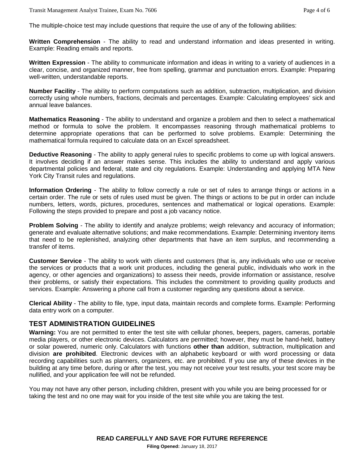The multiple-choice test may include questions that require the use of any of the following abilities:

**Written Comprehension** - The ability to read and understand information and ideas presented in writing. Example: Reading emails and reports.

**Written Expression** - The ability to communicate information and ideas in writing to a variety of audiences in a clear, concise, and organized manner, free from spelling, grammar and punctuation errors. Example: Preparing well-written, understandable reports.

**Number Facility** - The ability to perform computations such as addition, subtraction, multiplication, and division correctly using whole numbers, fractions, decimals and percentages. Example: Calculating employees' sick and annual leave balances.

**Mathematics Reasoning** - The ability to understand and organize a problem and then to select a mathematical method or formula to solve the problem. It encompasses reasoning through mathematical problems to determine appropriate operations that can be performed to solve problems. Example: Determining the mathematical formula required to calculate data on an Excel spreadsheet.

**Deductive Reasoning** - The ability to apply general rules to specific problems to come up with logical answers. It involves deciding if an answer makes sense. This includes the ability to understand and apply various departmental policies and federal, state and city regulations. Example: Understanding and applying MTA New York City Transit rules and regulations.

**Information Ordering** - The ability to follow correctly a rule or set of rules to arrange things or actions in a certain order. The rule or sets of rules used must be given. The things or actions to be put in order can include numbers, letters, words, pictures, procedures, sentences and mathematical or logical operations. Example: Following the steps provided to prepare and post a job vacancy notice.

**Problem Solving** - The ability to identify and analyze problems; weigh relevancy and accuracy of information; generate and evaluate alternative solutions; and make recommendations. Example: Determining inventory items that need to be replenished, analyzing other departments that have an item surplus, and recommending a transfer of items.

**Customer Service** - The ability to work with clients and customers (that is, any individuals who use or receive the services or products that a work unit produces, including the general public, individuals who work in the agency, or other agencies and organizations) to assess their needs, provide information or assistance, resolve their problems, or satisfy their expectations. This includes the commitment to providing quality products and services. Example: Answering a phone call from a customer regarding any questions about a service.

**Clerical Ability** - The ability to file, type, input data, maintain records and complete forms. Example: Performing data entry work on a computer.

# **TEST ADMINISTRATION GUIDELINES**

**Warning:** You are not permitted to enter the test site with cellular phones, beepers, pagers, cameras, portable media players, or other electronic devices. Calculators are permitted; however, they must be hand-held, battery or solar powered, numeric only. Calculators with functions **other than** addition, subtraction, multiplication and division **are prohibited**. Electronic devices with an alphabetic keyboard or with word processing or data recording capabilities such as planners, organizers, etc. are prohibited. If you use any of these devices in the building at any time before, during or after the test, you may not receive your test results, your test score may be nullified, and your application fee will not be refunded.

You may not have any other person, including children, present with you while you are being processed for or taking the test and no one may wait for you inside of the test site while you are taking the test.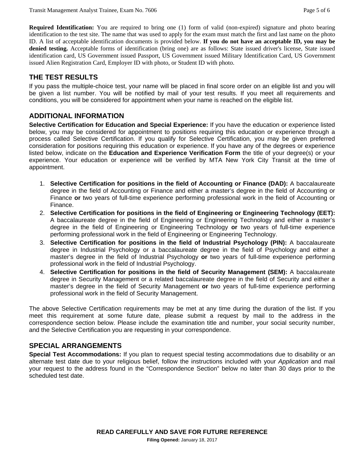**Required Identification:** You are required to bring one (1) form of valid (non-expired) signature and photo bearing identification to the test site. The name that was used to apply for the exam must match the first and last name on the photo ID. A list of acceptable identification documents is provided below. **If you do not have an acceptable ID, you may be denied testing.** Acceptable forms of identification (bring one) are as follows: State issued driver's license, State issued identification card, US Government issued Passport, US Government issued Military Identification Card, US Government issued Alien Registration Card, Employer ID with photo, or Student ID with photo.

# **THE TEST RESULTS**

If you pass the multiple-choice test, your name will be placed in final score order on an eligible list and you will be given a list number. You will be notified by mail of your test results. If you meet all requirements and conditions, you will be considered for appointment when your name is reached on the eligible list.

# **ADDITIONAL INFORMATION**

**Selective Certification for Education and Special Experience:** If you have the education or experience listed below, you may be considered for appointment to positions requiring this education or experience through a process called Selective Certification. If you qualify for Selective Certification, you may be given preferred consideration for positions requiring this education or experience. If you have any of the degrees or experience listed below, indicate on the **Education and Experience Verification Form** the title of your degree(s) or your experience. Your education or experience will be verified by MTA New York City Transit at the time of appointment.

- 1. **Selective Certification for positions in the field of Accounting or Finance (DAD):** A baccalaureate degree in the field of Accounting or Finance and either a master's degree in the field of Accounting or Finance **or** two years of full-time experience performing professional work in the field of Accounting or Finance.
- 2. **Selective Certification for positions in the field of Engineering or Engineering Technology (EET):** A baccalaureate degree in the field of Engineering or Engineering Technology and either a master's degree in the field of Engineering or Engineering Technology **or** two years of full-time experience performing professional work in the field of Engineering or Engineering Technology.
- 3. **Selective Certification for positions in the field of Industrial Psychology (PIN):** A baccalaureate degree in Industrial Psychology or a baccalaureate degree in the field of Psychology and either a master's degree in the field of Industrial Psychology **or** two years of full-time experience performing professional work in the field of Industrial Psychology.
- 4. **Selective Certification for positions in the field of Security Management (SEM):** A baccalaureate degree in Security Management or a related baccalaureate degree in the field of Security and either a master's degree in the field of Security Management **or** two years of full-time experience performing professional work in the field of Security Management.

The above Selective Certification requirements may be met at any time during the duration of the list. If you meet this requirement at some future date, please submit a request by mail to the address in the correspondence section below. Please include the examination title and number, your social security number, and the Selective Certification you are requesting in your correspondence.

# **SPECIAL ARRANGEMENTS**

**Special Test Accommodations:** If you plan to request special testing accommodations due to disability or an alternate test date due to your religious belief, follow the instructions included with your *Application* and mail your request to the address found in the "Correspondence Section" below no later than 30 days prior to the scheduled test date.